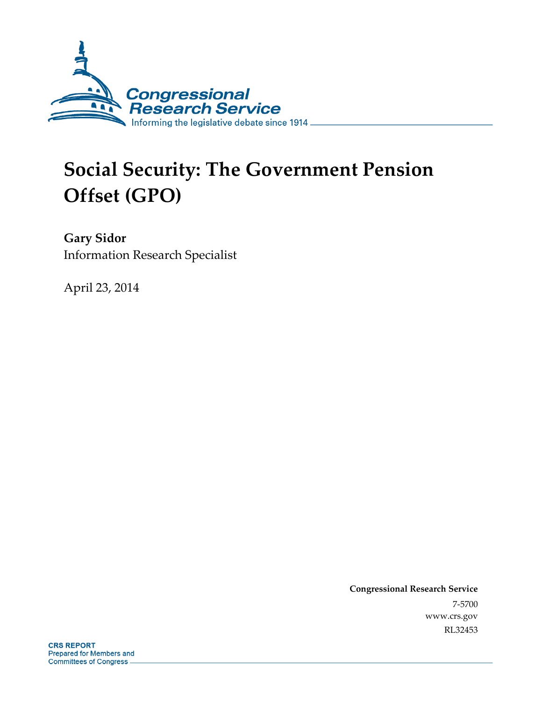

# **Social Security: The Government Pension Offset (GPO)**

**Gary Sidor**  Information Research Specialist

April 23, 2014

**Congressional Research Service**  7-5700 www.crs.gov RL32453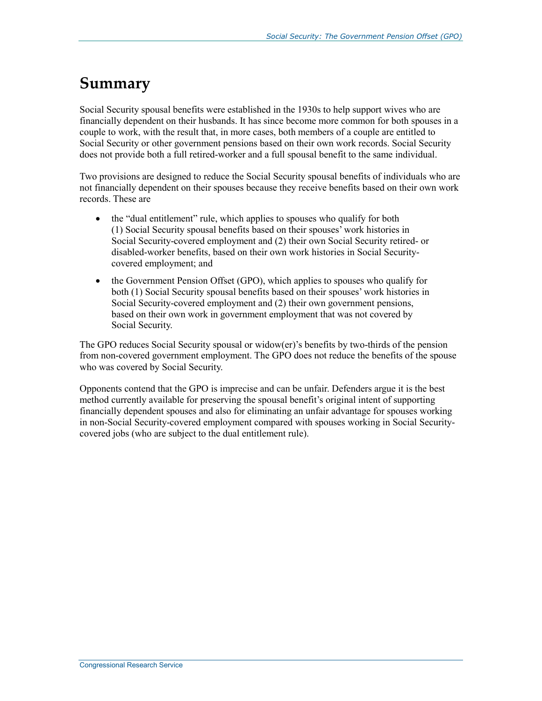## **Summary**

Social Security spousal benefits were established in the 1930s to help support wives who are financially dependent on their husbands. It has since become more common for both spouses in a couple to work, with the result that, in more cases, both members of a couple are entitled to Social Security or other government pensions based on their own work records. Social Security does not provide both a full retired-worker and a full spousal benefit to the same individual.

Two provisions are designed to reduce the Social Security spousal benefits of individuals who are not financially dependent on their spouses because they receive benefits based on their own work records. These are

- the "dual entitlement" rule, which applies to spouses who qualify for both (1) Social Security spousal benefits based on their spouses' work histories in Social Security-covered employment and (2) their own Social Security retired- or disabled-worker benefits, based on their own work histories in Social Securitycovered employment; and
- the Government Pension Offset (GPO), which applies to spouses who qualify for both (1) Social Security spousal benefits based on their spouses' work histories in Social Security-covered employment and (2) their own government pensions, based on their own work in government employment that was not covered by Social Security.

The GPO reduces Social Security spousal or widow(er)'s benefits by two-thirds of the pension from non-covered government employment. The GPO does not reduce the benefits of the spouse who was covered by Social Security.

Opponents contend that the GPO is imprecise and can be unfair. Defenders argue it is the best method currently available for preserving the spousal benefit's original intent of supporting financially dependent spouses and also for eliminating an unfair advantage for spouses working in non-Social Security-covered employment compared with spouses working in Social Securitycovered jobs (who are subject to the dual entitlement rule).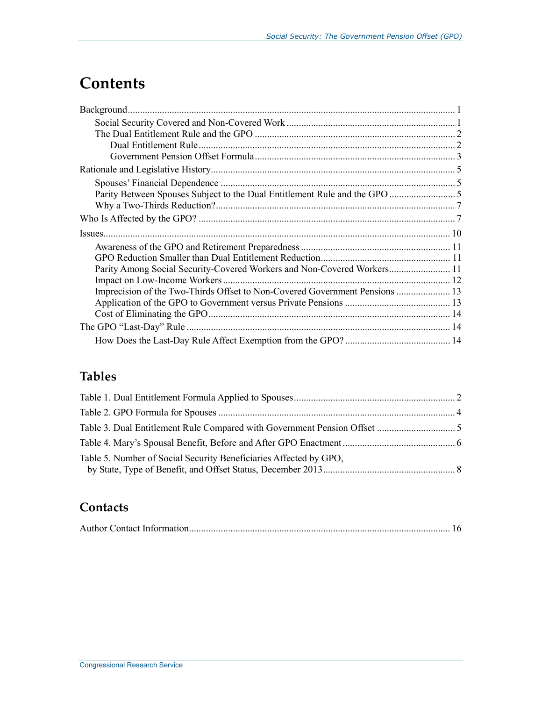## **Contents**

| Parity Among Social Security-Covered Workers and Non-Covered Workers 11     |  |
|-----------------------------------------------------------------------------|--|
|                                                                             |  |
| Imprecision of the Two-Thirds Offset to Non-Covered Government Pensions  13 |  |
|                                                                             |  |
|                                                                             |  |
|                                                                             |  |

### **Tables**

| Table 5. Number of Social Security Beneficiaries Affected by GPO, |  |
|-------------------------------------------------------------------|--|

### **Contacts**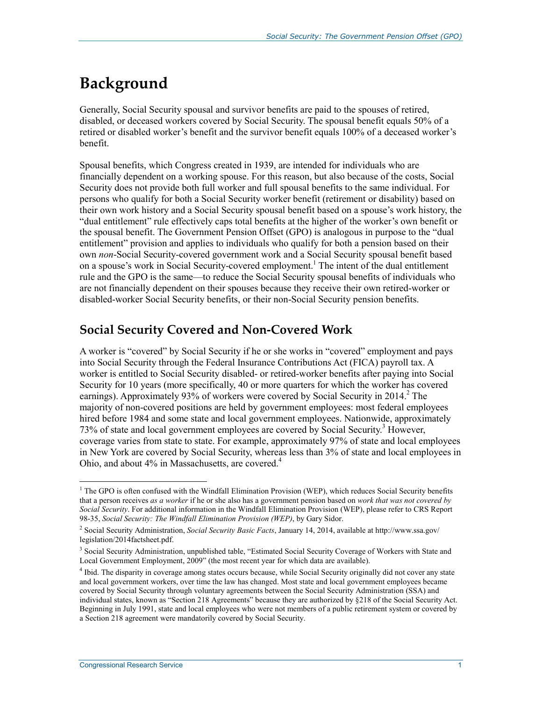## **Background**

Generally, Social Security spousal and survivor benefits are paid to the spouses of retired, disabled, or deceased workers covered by Social Security. The spousal benefit equals 50% of a retired or disabled worker's benefit and the survivor benefit equals 100% of a deceased worker's benefit.

Spousal benefits, which Congress created in 1939, are intended for individuals who are financially dependent on a working spouse. For this reason, but also because of the costs, Social Security does not provide both full worker and full spousal benefits to the same individual. For persons who qualify for both a Social Security worker benefit (retirement or disability) based on their own work history and a Social Security spousal benefit based on a spouse's work history, the "dual entitlement" rule effectively caps total benefits at the higher of the worker's own benefit or the spousal benefit. The Government Pension Offset (GPO) is analogous in purpose to the "dual entitlement" provision and applies to individuals who qualify for both a pension based on their own *non*-Social Security-covered government work and a Social Security spousal benefit based on a spouse's work in Social Security-covered employment.<sup>1</sup> The intent of the dual entitlement rule and the GPO is the same—to reduce the Social Security spousal benefits of individuals who are not financially dependent on their spouses because they receive their own retired-worker or disabled-worker Social Security benefits, or their non-Social Security pension benefits.

#### **Social Security Covered and Non-Covered Work**

A worker is "covered" by Social Security if he or she works in "covered" employment and pays into Social Security through the Federal Insurance Contributions Act (FICA) payroll tax. A worker is entitled to Social Security disabled- or retired-worker benefits after paying into Social Security for 10 years (more specifically, 40 or more quarters for which the worker has covered earnings). Approximately 93% of workers were covered by Social Security in 2014.<sup>2</sup> The majority of non-covered positions are held by government employees: most federal employees hired before 1984 and some state and local government employees. Nationwide, approximately 73% of state and local government employees are covered by Social Security.<sup>3</sup> However, coverage varies from state to state. For example, approximately 97% of state and local employees in New York are covered by Social Security, whereas less than 3% of state and local employees in Ohio, and about 4% in Massachusetts, are covered.<sup>4</sup>

<u>.</u>

<sup>&</sup>lt;sup>1</sup> The GPO is often confused with the Windfall Elimination Provision (WEP), which reduces Social Security benefits that a person receives *as a worker* if he or she also has a government pension based on *work that was not covered by Social Security*. For additional information in the Windfall Elimination Provision (WEP), please refer to CRS Report 98-35, *Social Security: The Windfall Elimination Provision (WEP)*, by Gary Sidor.

<sup>2</sup> Social Security Administration, *Social Security Basic Facts*, January 14, 2014, available at http://www.ssa.gov/ legislation/2014factsheet.pdf.

<sup>&</sup>lt;sup>3</sup> Social Security Administration, unpublished table, "Estimated Social Security Coverage of Workers with State and Local Government Employment, 2009" (the most recent year for which data are available).

<sup>4</sup> Ibid. The disparity in coverage among states occurs because, while Social Security originally did not cover any state and local government workers, over time the law has changed. Most state and local government employees became covered by Social Security through voluntary agreements between the Social Security Administration (SSA) and individual states, known as "Section 218 Agreements" because they are authorized by §218 of the Social Security Act. Beginning in July 1991, state and local employees who were not members of a public retirement system or covered by a Section 218 agreement were mandatorily covered by Social Security.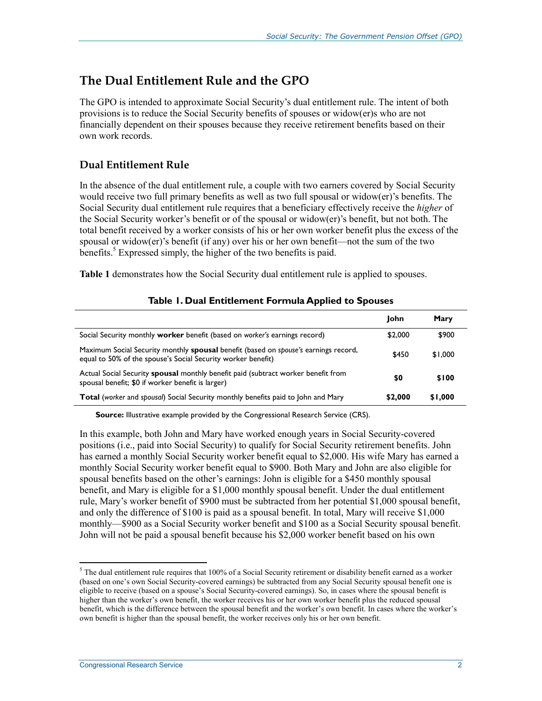#### **The Dual Entitlement Rule and the GPO**

The GPO is intended to approximate Social Security's dual entitlement rule. The intent of both provisions is to reduce the Social Security benefits of spouses or widow(er)s who are not financially dependent on their spouses because they receive retirement benefits based on their own work records.

#### **Dual Entitlement Rule**

In the absence of the dual entitlement rule, a couple with two earners covered by Social Security would receive two full primary benefits as well as two full spousal or widow(er)'s benefits. The Social Security dual entitlement rule requires that a beneficiary effectively receive the *higher* of the Social Security worker's benefit or of the spousal or widow(er)'s benefit, but not both. The total benefit received by a worker consists of his or her own worker benefit plus the excess of the spousal or widow(er)'s benefit (if any) over his or her own benefit—not the sum of the two benefits.<sup>5</sup> Expressed simply, the higher of the two benefits is paid.

**Table 1** demonstrates how the Social Security dual entitlement rule is applied to spouses.

|                                                                                                                                                     | John    | Mary    |
|-----------------------------------------------------------------------------------------------------------------------------------------------------|---------|---------|
| Social Security monthly worker benefit (based on worker's earnings record)                                                                          | \$2,000 | \$900   |
| Maximum Social Security monthly spousal benefit (based on spouse's earnings record,<br>equal to 50% of the spouse's Social Security worker benefit) | \$450   | \$1,000 |
| Actual Social Security <b>spousal</b> monthly benefit paid (subtract worker benefit from<br>spousal benefit; \$0 if worker benefit is larger)       | \$0     | \$100   |
| <b>Total</b> (worker and spousal) Social Security monthly benefits paid to John and Mary                                                            | \$2,000 | \$1,000 |

#### **Table 1. Dual Entitlement Formula Applied to Spouses**

**Source:** Illustrative example provided by the Congressional Research Service (CRS).

In this example, both John and Mary have worked enough years in Social Security-covered positions (i.e., paid into Social Security) to qualify for Social Security retirement benefits. John has earned a monthly Social Security worker benefit equal to \$2,000. His wife Mary has earned a monthly Social Security worker benefit equal to \$900. Both Mary and John are also eligible for spousal benefits based on the other's earnings: John is eligible for a \$450 monthly spousal benefit, and Mary is eligible for a \$1,000 monthly spousal benefit. Under the dual entitlement rule, Mary's worker benefit of \$900 must be subtracted from her potential \$1,000 spousal benefit, and only the difference of \$100 is paid as a spousal benefit. In total, Mary will receive \$1,000 monthly—\$900 as a Social Security worker benefit and \$100 as a Social Security spousal benefit. John will not be paid a spousal benefit because his \$2,000 worker benefit based on his own

 $<sup>5</sup>$  The dual entitlement rule requires that 100% of a Social Security retirement or disability benefit earned as a worker</sup> (based on one's own Social Security-covered earnings) be subtracted from any Social Security spousal benefit one is eligible to receive (based on a spouse's Social Security-covered earnings). So, in cases where the spousal benefit is higher than the worker's own benefit, the worker receives his or her own worker benefit plus the reduced spousal benefit, which is the difference between the spousal benefit and the worker's own benefit. In cases where the worker's own benefit is higher than the spousal benefit, the worker receives only his or her own benefit.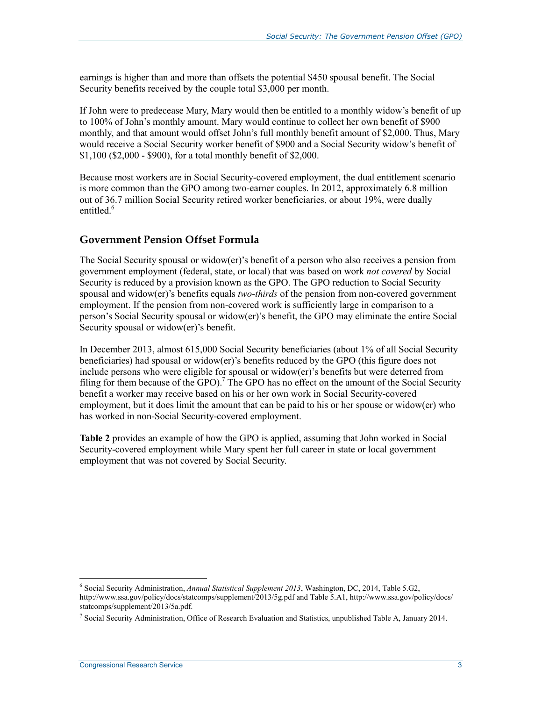earnings is higher than and more than offsets the potential \$450 spousal benefit. The Social Security benefits received by the couple total \$3,000 per month.

If John were to predecease Mary, Mary would then be entitled to a monthly widow's benefit of up to 100% of John's monthly amount. Mary would continue to collect her own benefit of \$900 monthly, and that amount would offset John's full monthly benefit amount of \$2,000. Thus, Mary would receive a Social Security worker benefit of \$900 and a Social Security widow's benefit of \$1,100 (\$2,000 - \$900), for a total monthly benefit of \$2,000.

Because most workers are in Social Security-covered employment, the dual entitlement scenario is more common than the GPO among two-earner couples. In 2012, approximately 6.8 million out of 36.7 million Social Security retired worker beneficiaries, or about 19%, were dually entitled.<sup>6</sup>

#### **Government Pension Offset Formula**

The Social Security spousal or widow(er)'s benefit of a person who also receives a pension from government employment (federal, state, or local) that was based on work *not covered* by Social Security is reduced by a provision known as the GPO. The GPO reduction to Social Security spousal and widow(er)'s benefits equals *two-thirds* of the pension from non-covered government employment. If the pension from non-covered work is sufficiently large in comparison to a person's Social Security spousal or widow(er)'s benefit, the GPO may eliminate the entire Social Security spousal or widow(er)'s benefit.

In December 2013, almost 615,000 Social Security beneficiaries (about 1% of all Social Security beneficiaries) had spousal or widow(er)'s benefits reduced by the GPO (this figure does not include persons who were eligible for spousal or widow(er)'s benefits but were deterred from filing for them because of the GPO).<sup>7</sup> The GPO has no effect on the amount of the Social Security benefit a worker may receive based on his or her own work in Social Security-covered employment, but it does limit the amount that can be paid to his or her spouse or widow(er) who has worked in non-Social Security-covered employment.

**Table 2** provides an example of how the GPO is applied, assuming that John worked in Social Security-covered employment while Mary spent her full career in state or local government employment that was not covered by Social Security.

<sup>6</sup> Social Security Administration, *Annual Statistical Supplement 2013*, Washington, DC, 2014, Table 5.G2, http://www.ssa.gov/policy/docs/statcomps/supplement/2013/5g.pdf and Table 5.A1, http://www.ssa.gov/policy/docs/ statcomps/supplement/2013/5a.pdf.

<sup>&</sup>lt;sup>7</sup> Social Security Administration, Office of Research Evaluation and Statistics, unpublished Table A, January 2014.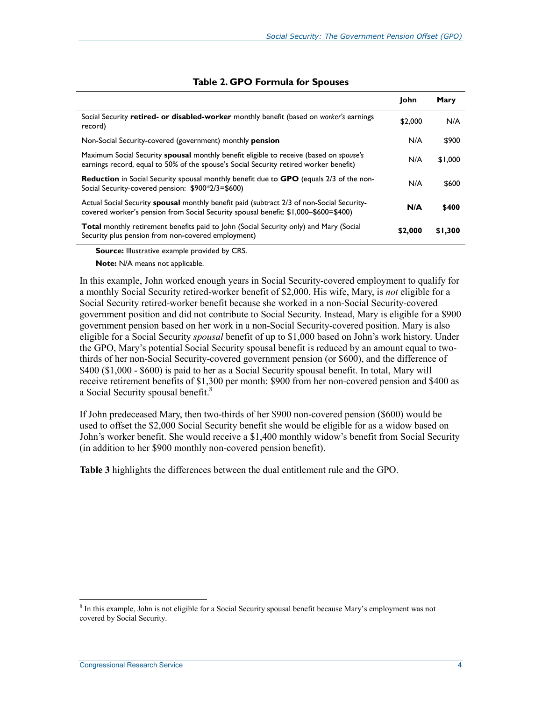|                                                                                                                                                                                  | <b>Iohn</b> | Mary    |
|----------------------------------------------------------------------------------------------------------------------------------------------------------------------------------|-------------|---------|
| Social Security retired- or disabled-worker monthly benefit (based on worker's earnings<br>record)                                                                               | \$2,000     | N/A     |
| Non-Social Security-covered (government) monthly <b>pension</b>                                                                                                                  | N/A         | \$900   |
| Maximum Social Security spousal monthly benefit eligible to receive (based on spouse's<br>earnings record, equal to 50% of the spouse's Social Security retired worker benefit)  | N/A         | \$1,000 |
| <b>Reduction</b> in Social Security spousal monthly benefit due to <b>GPO</b> (equals 2/3 of the non-<br>Social Security-covered pension: \$900*2/3=\$600)                       | N/A         | \$600   |
| Actual Social Security spousal monthly benefit paid (subtract 2/3 of non-Social Security-<br>covered worker's pension from Social Security spousal benefit: \$1,000-\$600=\$400) | N/A         | \$400   |
| <b>Total</b> monthly retirement benefits paid to John (Social Security only) and Mary (Social<br>Security plus pension from non-covered employment)                              | \$2,000     | \$1,300 |
|                                                                                                                                                                                  |             |         |

#### **Table 2. GPO Formula for Spouses**

**Source:** Illustrative example provided by CRS.

**Note:** N/A means not applicable.

In this example, John worked enough years in Social Security-covered employment to qualify for a monthly Social Security retired-worker benefit of \$2,000. His wife, Mary, is *not* eligible for a Social Security retired-worker benefit because she worked in a non-Social Security-covered government position and did not contribute to Social Security. Instead, Mary is eligible for a \$900 government pension based on her work in a non-Social Security-covered position. Mary is also eligible for a Social Security *spousal* benefit of up to \$1,000 based on John's work history. Under the GPO, Mary's potential Social Security spousal benefit is reduced by an amount equal to twothirds of her non-Social Security-covered government pension (or \$600), and the difference of \$400 (\$1,000 - \$600) is paid to her as a Social Security spousal benefit. In total, Mary will receive retirement benefits of \$1,300 per month: \$900 from her non-covered pension and \$400 as a Social Security spousal benefit.<sup>8</sup>

If John predeceased Mary, then two-thirds of her \$900 non-covered pension (\$600) would be used to offset the \$2,000 Social Security benefit she would be eligible for as a widow based on John's worker benefit. She would receive a \$1,400 monthly widow's benefit from Social Security (in addition to her \$900 monthly non-covered pension benefit).

**Table 3** highlights the differences between the dual entitlement rule and the GPO.

<sup>&</sup>lt;sup>8</sup> In this example, John is not eligible for a Social Security spousal benefit because Mary's employment was not covered by Social Security.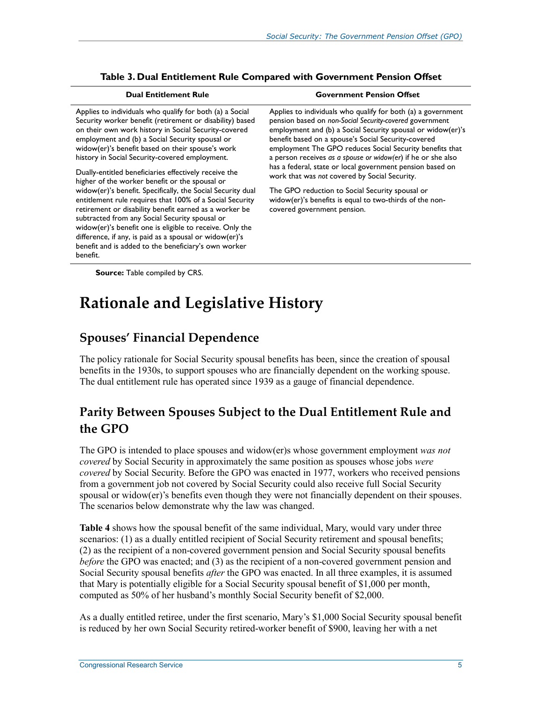| <b>Dual Entitlement Rule</b>                                                                                                                                                                                                                                                                                                                                                                                                                                                                                                                                                                                                          | <b>Government Pension Offset</b>                                                                                                                                                                                                                                                                                                                                                                                                                                                                                                                                                                                                     |
|---------------------------------------------------------------------------------------------------------------------------------------------------------------------------------------------------------------------------------------------------------------------------------------------------------------------------------------------------------------------------------------------------------------------------------------------------------------------------------------------------------------------------------------------------------------------------------------------------------------------------------------|--------------------------------------------------------------------------------------------------------------------------------------------------------------------------------------------------------------------------------------------------------------------------------------------------------------------------------------------------------------------------------------------------------------------------------------------------------------------------------------------------------------------------------------------------------------------------------------------------------------------------------------|
| Applies to individuals who qualify for both (a) a Social<br>Security worker benefit (retirement or disability) based<br>on their own work history in Social Security-covered<br>employment and (b) a Social Security spousal or<br>widow(er)'s benefit based on their spouse's work<br>history in Social Security-covered employment.<br>Dually-entitled beneficiaries effectively receive the<br>higher of the worker benefit or the spousal or<br>widow(er)'s benefit. Specifically, the Social Security dual<br>entitlement rule requires that 100% of a Social Security<br>retirement or disability benefit earned as a worker be | Applies to individuals who qualify for both (a) a government<br>pension based on non-Social Security-covered government<br>employment and (b) a Social Security spousal or widow(er)'s<br>benefit based on a spouse's Social Security-covered<br>employment The GPO reduces Social Security benefits that<br>a person receives as a spouse or widow(er) if he or she also<br>has a federal, state or local government pension based on<br>work that was not covered by Social Security.<br>The GPO reduction to Social Security spousal or<br>widow(er)'s benefits is equal to two-thirds of the non-<br>covered government pension. |
| subtracted from any Social Security spousal or<br>widow(er)'s benefit one is eligible to receive. Only the<br>difference, if any, is paid as a spousal or widow(er)'s<br>benefit and is added to the beneficiary's own worker<br>benefit.                                                                                                                                                                                                                                                                                                                                                                                             |                                                                                                                                                                                                                                                                                                                                                                                                                                                                                                                                                                                                                                      |
|                                                                                                                                                                                                                                                                                                                                                                                                                                                                                                                                                                                                                                       |                                                                                                                                                                                                                                                                                                                                                                                                                                                                                                                                                                                                                                      |

#### **Table 3. Dual Entitlement Rule Compared with Government Pension Offset**

**Source:** Table compiled by CRS.

## **Rationale and Legislative History**

### **Spouses' Financial Dependence**

The policy rationale for Social Security spousal benefits has been, since the creation of spousal benefits in the 1930s, to support spouses who are financially dependent on the working spouse. The dual entitlement rule has operated since 1939 as a gauge of financial dependence.

#### **Parity Between Spouses Subject to the Dual Entitlement Rule and the GPO**

The GPO is intended to place spouses and widow(er)s whose government employment *was not covered* by Social Security in approximately the same position as spouses whose jobs *were covered* by Social Security. Before the GPO was enacted in 1977, workers who received pensions from a government job not covered by Social Security could also receive full Social Security spousal or widow(er)'s benefits even though they were not financially dependent on their spouses. The scenarios below demonstrate why the law was changed.

**Table 4** shows how the spousal benefit of the same individual, Mary, would vary under three scenarios: (1) as a dually entitled recipient of Social Security retirement and spousal benefits; (2) as the recipient of a non-covered government pension and Social Security spousal benefits *before* the GPO was enacted; and (3) as the recipient of a non-covered government pension and Social Security spousal benefits *after* the GPO was enacted. In all three examples, it is assumed that Mary is potentially eligible for a Social Security spousal benefit of \$1,000 per month, computed as 50% of her husband's monthly Social Security benefit of \$2,000.

As a dually entitled retiree, under the first scenario, Mary's \$1,000 Social Security spousal benefit is reduced by her own Social Security retired-worker benefit of \$900, leaving her with a net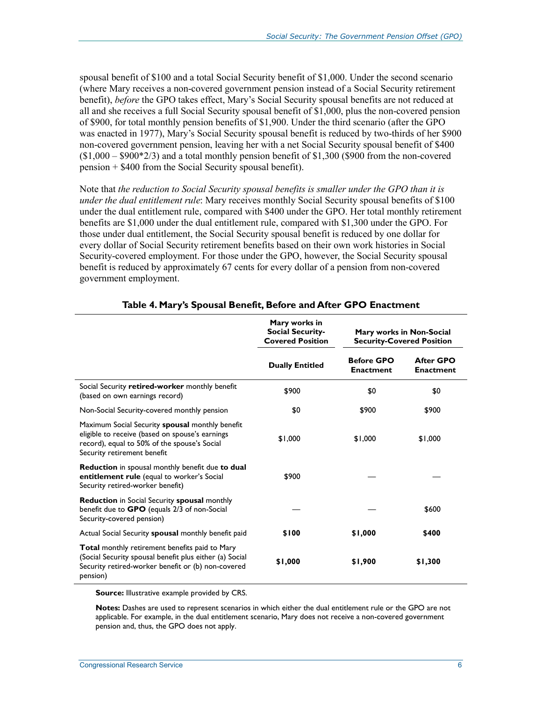spousal benefit of \$100 and a total Social Security benefit of \$1,000. Under the second scenario (where Mary receives a non-covered government pension instead of a Social Security retirement benefit), *before* the GPO takes effect, Mary's Social Security spousal benefits are not reduced at all and she receives a full Social Security spousal benefit of \$1,000, plus the non-covered pension of \$900, for total monthly pension benefits of \$1,900. Under the third scenario (after the GPO was enacted in 1977), Mary's Social Security spousal benefit is reduced by two-thirds of her \$900 non-covered government pension, leaving her with a net Social Security spousal benefit of \$400  $($1,000 - $900*2/3)$  and a total monthly pension benefit of \$1,300 (\$900 from the non-covered pension + \$400 from the Social Security spousal benefit).

Note that *the reduction to Social Security spousal benefits is smaller under the GPO than it is under the dual entitlement rule*: Mary receives monthly Social Security spousal benefits of \$100 under the dual entitlement rule, compared with \$400 under the GPO. Her total monthly retirement benefits are \$1,000 under the dual entitlement rule, compared with \$1,300 under the GPO. For those under dual entitlement, the Social Security spousal benefit is reduced by one dollar for every dollar of Social Security retirement benefits based on their own work histories in Social Security-covered employment. For those under the GPO, however, the Social Security spousal benefit is reduced by approximately 67 cents for every dollar of a pension from non-covered government employment.

|                                                                                                                                                                                   | Mary works in<br><b>Social Security-</b><br><b>Covered Position</b> | Mary works in Non-Social<br><b>Security-Covered Position</b> |                                      |
|-----------------------------------------------------------------------------------------------------------------------------------------------------------------------------------|---------------------------------------------------------------------|--------------------------------------------------------------|--------------------------------------|
|                                                                                                                                                                                   | <b>Dually Entitled</b>                                              | <b>Before GPO</b><br><b>Enactment</b>                        | <b>After GPO</b><br><b>Enactment</b> |
| Social Security retired-worker monthly benefit<br>(based on own earnings record)                                                                                                  | \$900                                                               | \$0                                                          | \$0                                  |
| Non-Social Security-covered monthly pension                                                                                                                                       | \$0                                                                 | \$900                                                        | \$900                                |
| Maximum Social Security spousal monthly benefit<br>eligible to receive (based on spouse's earnings<br>record), equal to 50% of the spouse's Social<br>Security retirement benefit | \$1,000                                                             | \$1,000                                                      | \$1,000                              |
| Reduction in spousal monthly benefit due to dual<br>entitlement rule (equal to worker's Social<br>Security retired-worker benefit)                                                | \$900                                                               |                                                              |                                      |
| <b>Reduction</b> in Social Security <b>spousal</b> monthly<br>benefit due to GPO (equals 2/3 of non-Social<br>Security-covered pension)                                           |                                                                     |                                                              | \$600                                |
| Actual Social Security spousal monthly benefit paid                                                                                                                               | \$100                                                               | \$1,000                                                      | \$400                                |
| Total monthly retirement benefits paid to Mary<br>(Social Security spousal benefit plus either (a) Social<br>Security retired-worker benefit or (b) non-covered<br>pension)       | \$1,000                                                             | \$1,900                                                      | \$1,300                              |

#### **Table 4. Mary's Spousal Benefit, Before and After GPO Enactment**

**Source:** Illustrative example provided by CRS.

**Notes:** Dashes are used to represent scenarios in which either the dual entitlement rule or the GPO are not applicable. For example, in the dual entitlement scenario, Mary does not receive a non-covered government pension and, thus, the GPO does not apply.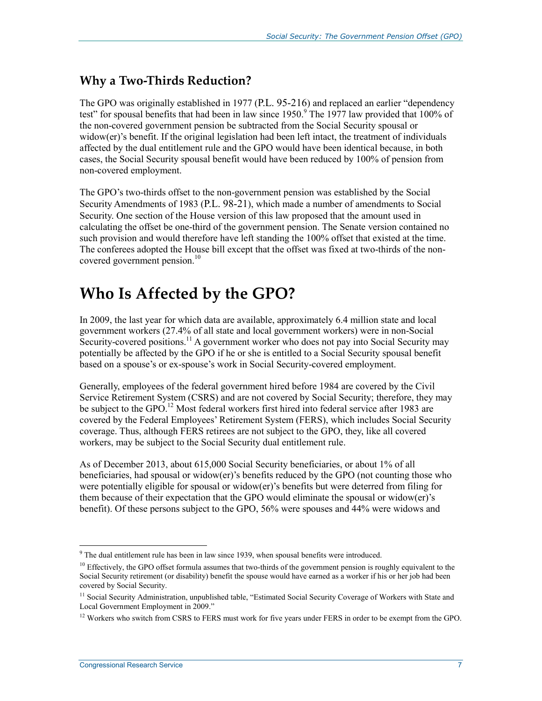#### **Why a Two-Thirds Reduction?**

The GPO was originally established in 1977 (P.L. 95-216) and replaced an earlier "dependency test" for spousal benefits that had been in law since  $1950<sup>9</sup>$  The 1977 law provided that 100% of the non-covered government pension be subtracted from the Social Security spousal or widow(er)'s benefit. If the original legislation had been left intact, the treatment of individuals affected by the dual entitlement rule and the GPO would have been identical because, in both cases, the Social Security spousal benefit would have been reduced by 100% of pension from non-covered employment.

The GPO's two-thirds offset to the non-government pension was established by the Social Security Amendments of 1983 (P.L. 98-21), which made a number of amendments to Social Security. One section of the House version of this law proposed that the amount used in calculating the offset be one-third of the government pension. The Senate version contained no such provision and would therefore have left standing the 100% offset that existed at the time. The conferees adopted the House bill except that the offset was fixed at two-thirds of the noncovered government pension.<sup>10</sup>

## **Who Is Affected by the GPO?**

In 2009, the last year for which data are available, approximately 6.4 million state and local government workers (27.4% of all state and local government workers) were in non-Social Security-covered positions.<sup>11</sup> A government worker who does not pay into Social Security may potentially be affected by the GPO if he or she is entitled to a Social Security spousal benefit based on a spouse's or ex-spouse's work in Social Security-covered employment.

Generally, employees of the federal government hired before 1984 are covered by the Civil Service Retirement System (CSRS) and are not covered by Social Security; therefore, they may be subject to the GPO.<sup>12</sup> Most federal workers first hired into federal service after 1983 are covered by the Federal Employees' Retirement System (FERS), which includes Social Security coverage. Thus, although FERS retirees are not subject to the GPO, they, like all covered workers, may be subject to the Social Security dual entitlement rule.

As of December 2013, about 615,000 Social Security beneficiaries, or about 1% of all beneficiaries, had spousal or widow(er)'s benefits reduced by the GPO (not counting those who were potentially eligible for spousal or widow(er)'s benefits but were deterred from filing for them because of their expectation that the GPO would eliminate the spousal or widow(er)'s benefit). Of these persons subject to the GPO, 56% were spouses and 44% were widows and

The dual entitlement rule has been in law since 1939, when spousal benefits were introduced.

<sup>&</sup>lt;sup>10</sup> Effectively, the GPO offset formula assumes that two-thirds of the government pension is roughly equivalent to the Social Security retirement (or disability) benefit the spouse would have earned as a worker if his or her job had been covered by Social Security.

<sup>&</sup>lt;sup>11</sup> Social Security Administration, unpublished table, "Estimated Social Security Coverage of Workers with State and Local Government Employment in 2009."

 $12$  Workers who switch from CSRS to FERS must work for five years under FERS in order to be exempt from the GPO.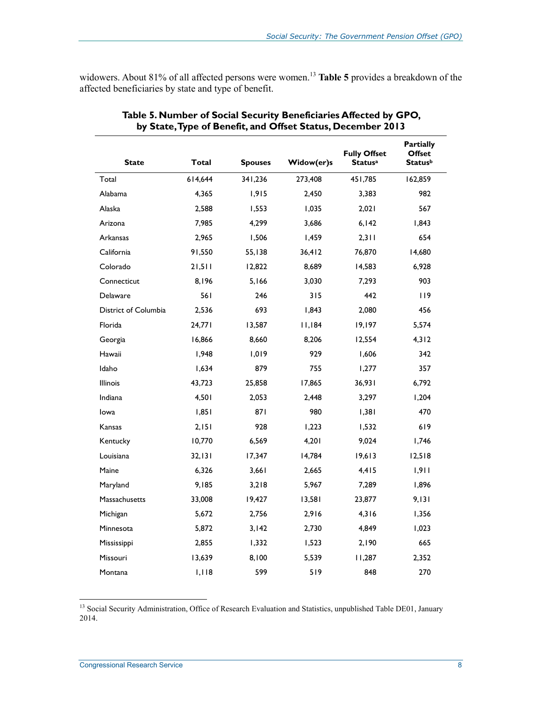widowers. About 81% of all affected persons were women.<sup>13</sup> Table 5 provides a breakdown of the affected beneficiaries by state and type of benefit.

| <b>State</b>         | <b>Total</b> | <b>Spouses</b> | Widow(er)s | <b>Fully Offset</b><br><b>Statusa</b> | <b>Partially</b><br><b>Offset</b><br><b>Statusb</b> |
|----------------------|--------------|----------------|------------|---------------------------------------|-----------------------------------------------------|
| Total                | 614,644      | 341,236        | 273,408    | 451,785                               | 162,859                                             |
| Alabama              | 4,365        | 1,915          | 2,450      | 3,383                                 | 982                                                 |
| Alaska               | 2,588        | 1,553          | 1,035      | 2,021                                 | 567                                                 |
| Arizona              | 7,985        | 4,299          | 3,686      | 6,142                                 | 1,843                                               |
| Arkansas             | 2,965        | 1,506          | 1,459      | 2,311                                 | 654                                                 |
| California           | 91,550       | 55,138         | 36,412     | 76,870                                | 14,680                                              |
| Colorado             | 21,511       | 12,822         | 8,689      | 14,583                                | 6,928                                               |
| Connecticut          | 8,196        | 5,166          | 3,030      | 7,293                                 | 903                                                 |
| Delaware             | 561          | 246            | 315        | 442                                   | 119                                                 |
| District of Columbia | 2,536        | 693            | 1,843      | 2,080                                 | 456                                                 |
| Florida              | 24,771       | 13,587         | 11,184     | 19,197                                | 5,574                                               |
| Georgia              | 16,866       | 8,660          | 8,206      | 12,554                                | 4,312                                               |
| Hawaii               | 1,948        | 1,019          | 929        | 1,606                                 | 342                                                 |
| Idaho                | 1,634        | 879            | 755        | 1,277                                 | 357                                                 |
| Illinois             | 43,723       | 25,858         | 17,865     | 36,931                                | 6,792                                               |
| Indiana              | 4,501        | 2,053          | 2,448      | 3,297                                 | 1,204                                               |
| lowa                 | 1,851        | 871            | 980        | 1,381                                 | 470                                                 |
| Kansas               | 2,151        | 928            | 1,223      | 1,532                                 | 619                                                 |
| Kentucky             | 10,770       | 6,569          | 4,201      | 9,024                                 | 1,746                                               |
| Louisiana            | 32,131       | 17,347         | 14,784     | 19,613                                | 12,518                                              |
| Maine                | 6,326        | 3,661          | 2,665      | 4,415                                 | 1,911                                               |
| Maryland             | 9,185        | 3,218          | 5,967      | 7,289                                 | 1,896                                               |
| Massachusetts        | 33,008       | 19,427         | 13,581     | 23,877                                | 9,131                                               |
| Michigan             | 5,672        | 2,756          | 2,916      | 4,316                                 | 1,356                                               |
| Minnesota            | 5,872        | 3,142          | 2,730      | 4,849                                 | 1,023                                               |
| Mississippi          | 2,855        | 1,332          | 1,523      | 2,190                                 | 665                                                 |
| Missouri             | 13,639       | 8,100          | 5,539      | 11,287                                | 2,352                                               |
| Montana              | 1,118        | 599            | 519        | 848                                   | 270                                                 |

#### **Table 5. Number of Social Security Beneficiaries Affected by GPO, by State, Type of Benefit, and Offset Status, December 2013**

<sup>13</sup> Social Security Administration, Office of Research Evaluation and Statistics, unpublished Table DE01, January 2014.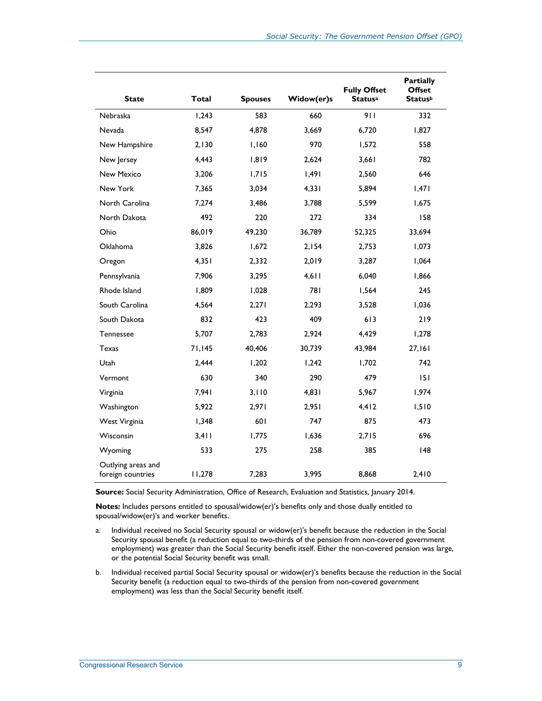| <b>State</b>                            | Total  | <b>Spouses</b> | Widow(er)s | <b>Fully Offset</b><br><b>Statusa</b> | <b>Partially</b><br><b>Offset</b><br><b>Status</b> b |
|-----------------------------------------|--------|----------------|------------|---------------------------------------|------------------------------------------------------|
| Nebraska                                | 1,243  | 583            | 660        | 911                                   | 332                                                  |
| Nevada                                  | 8,547  | 4,878          | 3.669      | 6,720                                 | 1,827                                                |
| New Hampshire                           | 2,130  | 1.160          | 970        | 1.572                                 | 558                                                  |
| New Jersey                              | 4,443  | 1,819          | 2.624      | 3,661                                 | 782                                                  |
| <b>New Mexico</b>                       | 3,206  | 1,715          | 1,491      | 2,560                                 | 646                                                  |
| New York                                | 7,365  | 3,034          | 4,331      | 5,894                                 | 1,471                                                |
| North Carolina                          | 7,274  | 3,486          | 3,788      | 5,599                                 | 1,675                                                |
| North Dakota                            | 492    | 220            | 272        | 334                                   | 158                                                  |
| Ohio                                    | 86.019 | 49.230         | 36.789     | 52.325                                | 33.694                                               |
| <b>Oklahoma</b>                         | 3,826  | 1,672          | 2,154      | 2,753                                 | 1,073                                                |
| Oregon                                  | 4,351  | 2,332          | 2.019      | 3,287                                 | 1,064                                                |
| Pennsylvania                            | 7,906  | 3,295          | $4,6$      | 6,040                                 | 1,866                                                |
| Rhode Island                            | 1,809  | 1,028          | 781        | 1,564                                 | 245                                                  |
| South Carolina                          | 4,564  | 2.271          | 2.293      | 3.528                                 | 1.036                                                |
| South Dakota                            | 832    | 423            | 409        | 613                                   | 219                                                  |
| <b>Tennessee</b>                        | 5,707  | 2,783          | 2,924      | 4,429                                 | 1,278                                                |
| <b>Texas</b>                            | 71,145 | 40,406         | 30,739     | 43,984                                | 27,161                                               |
| Utah                                    | 2,444  | 1,202          | 1,242      | 1,702                                 | 742                                                  |
| Vermont                                 | 630    | 340            | 290        | 479                                   | 151                                                  |
| Virginia                                | 7.941  | 3,110          | 4.831      | 5.967                                 | 1,974                                                |
| Washington                              | 5,922  | 2,971          | 2.951      | 4,412                                 | 1,510                                                |
| West Virginia                           | 1,348  | 601            | 747        | 875                                   | 473                                                  |
| Wisconsin                               | 3,411  | 1,775          | 1,636      | 2,715                                 | 696                                                  |
| Wyoming                                 | 533    | 275            | 258        | 385                                   | 48                                                   |
| Outlying areas and<br>foreign countries | 11,278 | 7,283          | 3,995      | 8,868                                 | 2,410                                                |

**Source:** Social Security Administration, Office of Research, Evaluation and Statistics, January 2014.

**Notes:** Includes persons entitled to spousal/widow(er)'s benefits only and those dually entitled to spousal/widow(er)'s and worker benefits.

- a. Individual received no Social Security spousal or widow(er)'s benefit because the reduction in the Social Security spousal benefit (a reduction equal to two-thirds of the pension from non-covered government employment) was greater than the Social Security benefit itself. Either the non-covered pension was large, or the potential Social Security benefit was small.
- b. Individual received partial Social Security spousal or widow(er)'s benefits because the reduction in the Social Security benefit (a reduction equal to two-thirds of the pension from non-covered government employment) was less than the Social Security benefit itself.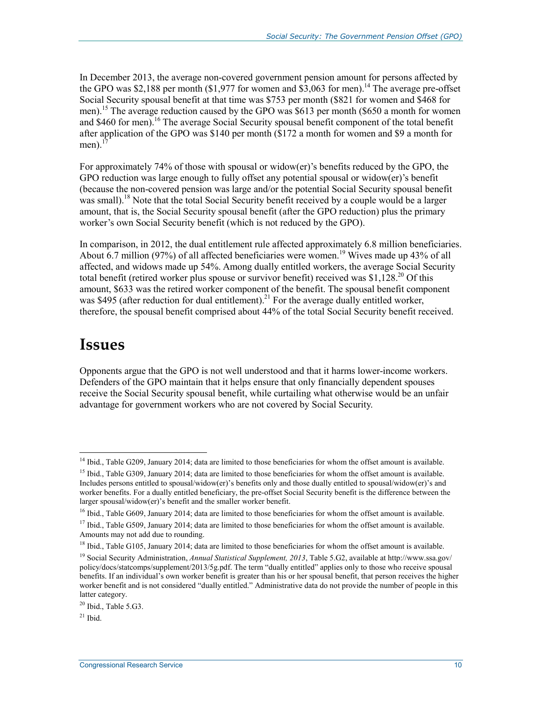In December 2013, the average non-covered government pension amount for persons affected by the GPO was \$2,188 per month (\$1,977 for women and  $\frac{$3,063}{2}$  for men).<sup>14</sup> The average pre-offset Social Security spousal benefit at that time was \$753 per month (\$821 for women and \$468 for men).<sup>15</sup> The average reduction caused by the GPO was \$613 per month (\$650 a month for women and \$460 for men).<sup>16</sup> The average Social Security spousal benefit component of the total benefit after application of the GPO was \$140 per month (\$172 a month for women and \$9 a month for men). $<sup>1</sup>$ </sup>

For approximately 74% of those with spousal or widow(er)'s benefits reduced by the GPO, the GPO reduction was large enough to fully offset any potential spousal or widow(er)'s benefit (because the non-covered pension was large and/or the potential Social Security spousal benefit was small).<sup>18</sup> Note that the total Social Security benefit received by a couple would be a larger amount, that is, the Social Security spousal benefit (after the GPO reduction) plus the primary worker's own Social Security benefit (which is not reduced by the GPO).

In comparison, in 2012, the dual entitlement rule affected approximately 6.8 million beneficiaries. About 6.7 million (97%) of all affected beneficiaries were women.<sup>19</sup> Wives made up 43% of all affected, and widows made up 54%. Among dually entitled workers, the average Social Security total benefit (retired worker plus spouse or survivor benefit) received was  $$1,128.^{20}$  Of this amount, \$633 was the retired worker component of the benefit. The spousal benefit component was \$495 (after reduction for dual entitlement).<sup>21</sup> For the average dually entitled worker, therefore, the spousal benefit comprised about 44% of the total Social Security benefit received.

## **Issues**

Opponents argue that the GPO is not well understood and that it harms lower-income workers. Defenders of the GPO maintain that it helps ensure that only financially dependent spouses receive the Social Security spousal benefit, while curtailing what otherwise would be an unfair advantage for government workers who are not covered by Social Security.

<sup>&</sup>lt;u>.</u>  $14$  Ibid., Table G209, January 2014; data are limited to those beneficiaries for whom the offset amount is available.

 $15$  Ibid., Table G309, January 2014; data are limited to those beneficiaries for whom the offset amount is available. Includes persons entitled to spousal/widow(er)'s benefits only and those dually entitled to spousal/widow(er)'s and worker benefits. For a dually entitled beneficiary, the pre-offset Social Security benefit is the difference between the larger spousal/widow(er)'s benefit and the smaller worker benefit.

 $16$  Ibid., Table G609, January 2014; data are limited to those beneficiaries for whom the offset amount is available.

 $17$  Ibid., Table G509, January 2014; data are limited to those beneficiaries for whom the offset amount is available. Amounts may not add due to rounding.

<sup>&</sup>lt;sup>18</sup> Ibid., Table G105, January 2014; data are limited to those beneficiaries for whom the offset amount is available.

<sup>19</sup> Social Security Administration, *Annual Statistical Supplement, 2013*, Table 5.G2, available at http://www.ssa.gov/ policy/docs/statcomps/supplement/2013/5g.pdf. The term "dually entitled" applies only to those who receive spousal benefits. If an individual's own worker benefit is greater than his or her spousal benefit, that person receives the higher worker benefit and is not considered "dually entitled." Administrative data do not provide the number of people in this latter category.

 $^{20}$  Ibid., Table 5.G3.

 $21$  Ibid.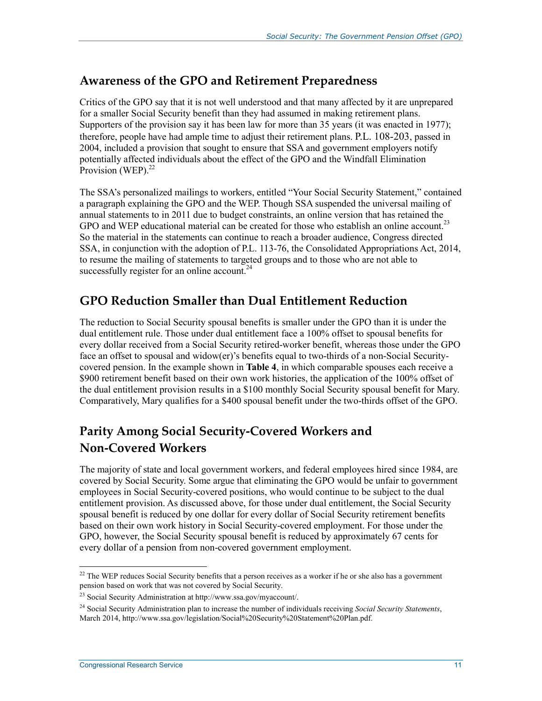#### **Awareness of the GPO and Retirement Preparedness**

Critics of the GPO say that it is not well understood and that many affected by it are unprepared for a smaller Social Security benefit than they had assumed in making retirement plans. Supporters of the provision say it has been law for more than 35 years (it was enacted in 1977); therefore, people have had ample time to adjust their retirement plans. P.L. 108-203, passed in 2004, included a provision that sought to ensure that SSA and government employers notify potentially affected individuals about the effect of the GPO and the Windfall Elimination Provision (WEP).<sup>22</sup>

The SSA's personalized mailings to workers, entitled "Your Social Security Statement," contained a paragraph explaining the GPO and the WEP. Though SSA suspended the universal mailing of annual statements to in 2011 due to budget constraints, an online version that has retained the GPO and WEP educational material can be created for those who establish an online account.<sup>23</sup> So the material in the statements can continue to reach a broader audience, Congress directed SSA, in conjunction with the adoption of P.L. 113-76, the Consolidated Appropriations Act, 2014, to resume the mailing of statements to targeted groups and to those who are not able to successfully register for an online account.<sup>24</sup>

#### **GPO Reduction Smaller than Dual Entitlement Reduction**

The reduction to Social Security spousal benefits is smaller under the GPO than it is under the dual entitlement rule. Those under dual entitlement face a 100% offset to spousal benefits for every dollar received from a Social Security retired-worker benefit, whereas those under the GPO face an offset to spousal and widow(er)'s benefits equal to two-thirds of a non-Social Securitycovered pension. In the example shown in **Table 4**, in which comparable spouses each receive a \$900 retirement benefit based on their own work histories, the application of the 100% offset of the dual entitlement provision results in a \$100 monthly Social Security spousal benefit for Mary. Comparatively, Mary qualifies for a \$400 spousal benefit under the two-thirds offset of the GPO.

### **Parity Among Social Security-Covered Workers and Non-Covered Workers**

The majority of state and local government workers, and federal employees hired since 1984, are covered by Social Security. Some argue that eliminating the GPO would be unfair to government employees in Social Security-covered positions, who would continue to be subject to the dual entitlement provision. As discussed above, for those under dual entitlement, the Social Security spousal benefit is reduced by one dollar for every dollar of Social Security retirement benefits based on their own work history in Social Security-covered employment. For those under the GPO, however, the Social Security spousal benefit is reduced by approximately 67 cents for every dollar of a pension from non-covered government employment.

<sup>1</sup>  $22$  The WEP reduces Social Security benefits that a person receives as a worker if he or she also has a government pension based on work that was not covered by Social Security.

<sup>23</sup> Social Security Administration at http://www.ssa.gov/myaccount/.

<sup>24</sup> Social Security Administration plan to increase the number of individuals receiving *Social Security Statements*, March 2014, http://www.ssa.gov/legislation/Social%20Security%20Statement%20Plan.pdf.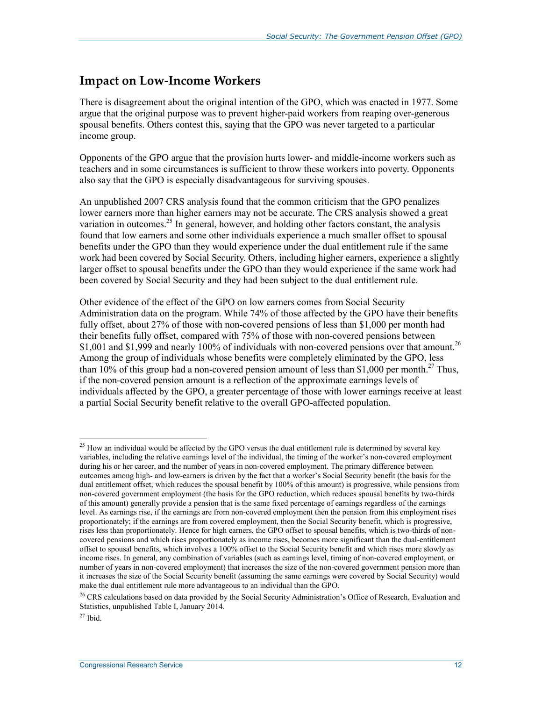#### **Impact on Low-Income Workers**

There is disagreement about the original intention of the GPO, which was enacted in 1977. Some argue that the original purpose was to prevent higher-paid workers from reaping over-generous spousal benefits. Others contest this, saying that the GPO was never targeted to a particular income group.

Opponents of the GPO argue that the provision hurts lower- and middle-income workers such as teachers and in some circumstances is sufficient to throw these workers into poverty. Opponents also say that the GPO is especially disadvantageous for surviving spouses.

An unpublished 2007 CRS analysis found that the common criticism that the GPO penalizes lower earners more than higher earners may not be accurate. The CRS analysis showed a great variation in outcomes.<sup>25</sup> In general, however, and holding other factors constant, the analysis found that low earners and some other individuals experience a much smaller offset to spousal benefits under the GPO than they would experience under the dual entitlement rule if the same work had been covered by Social Security. Others, including higher earners, experience a slightly larger offset to spousal benefits under the GPO than they would experience if the same work had been covered by Social Security and they had been subject to the dual entitlement rule.

Other evidence of the effect of the GPO on low earners comes from Social Security Administration data on the program. While 74% of those affected by the GPO have their benefits fully offset, about 27% of those with non-covered pensions of less than \$1,000 per month had their benefits fully offset, compared with 75% of those with non-covered pensions between \$1,001 and \$1,999 and nearly 100% of individuals with non-covered pensions over that amount.<sup>26</sup> Among the group of individuals whose benefits were completely eliminated by the GPO, less than 10% of this group had a non-covered pension amount of less than \$1,000 per month.<sup>27</sup> Thus, if the non-covered pension amount is a reflection of the approximate earnings levels of individuals affected by the GPO, a greater percentage of those with lower earnings receive at least a partial Social Security benefit relative to the overall GPO-affected population.

<u>.</u>

 $25$  How an individual would be affected by the GPO versus the dual entitlement rule is determined by several key variables, including the relative earnings level of the individual, the timing of the worker's non-covered employment during his or her career, and the number of years in non-covered employment. The primary difference between outcomes among high- and low-earners is driven by the fact that a worker's Social Security benefit (the basis for the dual entitlement offset, which reduces the spousal benefit by 100% of this amount) is progressive, while pensions from non-covered government employment (the basis for the GPO reduction, which reduces spousal benefits by two-thirds of this amount) generally provide a pension that is the same fixed percentage of earnings regardless of the earnings level. As earnings rise, if the earnings are from non-covered employment then the pension from this employment rises proportionately; if the earnings are from covered employment, then the Social Security benefit, which is progressive, rises less than proportionately. Hence for high earners, the GPO offset to spousal benefits, which is two-thirds of noncovered pensions and which rises proportionately as income rises, becomes more significant than the dual-entitlement offset to spousal benefits, which involves a 100% offset to the Social Security benefit and which rises more slowly as income rises. In general, any combination of variables (such as earnings level, timing of non-covered employment, or number of years in non-covered employment) that increases the size of the non-covered government pension more than it increases the size of the Social Security benefit (assuming the same earnings were covered by Social Security) would make the dual entitlement rule more advantageous to an individual than the GPO.

<sup>&</sup>lt;sup>26</sup> CRS calculations based on data provided by the Social Security Administration's Office of Research, Evaluation and Statistics, unpublished Table I, January 2014.

 $27$  Ibid.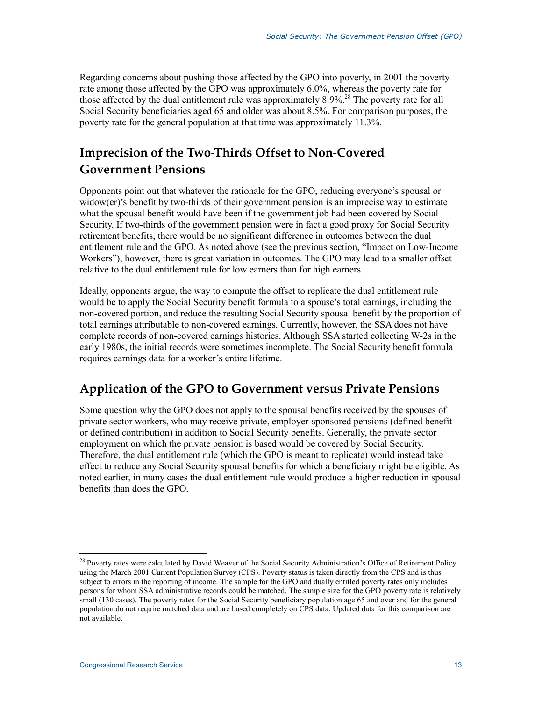Regarding concerns about pushing those affected by the GPO into poverty, in 2001 the poverty rate among those affected by the GPO was approximately 6.0%, whereas the poverty rate for those affected by the dual entitlement rule was approximately  $8.9\%$ <sup>28</sup>. The poverty rate for all Social Security beneficiaries aged 65 and older was about 8.5%. For comparison purposes, the poverty rate for the general population at that time was approximately 11.3%.

### **Imprecision of the Two-Thirds Offset to Non-Covered Government Pensions**

Opponents point out that whatever the rationale for the GPO, reducing everyone's spousal or widow(er)'s benefit by two-thirds of their government pension is an imprecise way to estimate what the spousal benefit would have been if the government job had been covered by Social Security. If two-thirds of the government pension were in fact a good proxy for Social Security retirement benefits, there would be no significant difference in outcomes between the dual entitlement rule and the GPO. As noted above (see the previous section, "Impact on Low-Income Workers"), however, there is great variation in outcomes. The GPO may lead to a smaller offset relative to the dual entitlement rule for low earners than for high earners.

Ideally, opponents argue, the way to compute the offset to replicate the dual entitlement rule would be to apply the Social Security benefit formula to a spouse's total earnings, including the non-covered portion, and reduce the resulting Social Security spousal benefit by the proportion of total earnings attributable to non-covered earnings. Currently, however, the SSA does not have complete records of non-covered earnings histories. Although SSA started collecting W-2s in the early 1980s, the initial records were sometimes incomplete. The Social Security benefit formula requires earnings data for a worker's entire lifetime.

#### **Application of the GPO to Government versus Private Pensions**

Some question why the GPO does not apply to the spousal benefits received by the spouses of private sector workers, who may receive private, employer-sponsored pensions (defined benefit or defined contribution) in addition to Social Security benefits. Generally, the private sector employment on which the private pension is based would be covered by Social Security. Therefore, the dual entitlement rule (which the GPO is meant to replicate) would instead take effect to reduce any Social Security spousal benefits for which a beneficiary might be eligible. As noted earlier, in many cases the dual entitlement rule would produce a higher reduction in spousal benefits than does the GPO.

<sup>&</sup>lt;sup>28</sup> Poverty rates were calculated by David Weaver of the Social Security Administration's Office of Retirement Policy using the March 2001 Current Population Survey (CPS). Poverty status is taken directly from the CPS and is thus subject to errors in the reporting of income. The sample for the GPO and dually entitled poverty rates only includes persons for whom SSA administrative records could be matched. The sample size for the GPO poverty rate is relatively small (130 cases). The poverty rates for the Social Security beneficiary population age 65 and over and for the general population do not require matched data and are based completely on CPS data. Updated data for this comparison are not available.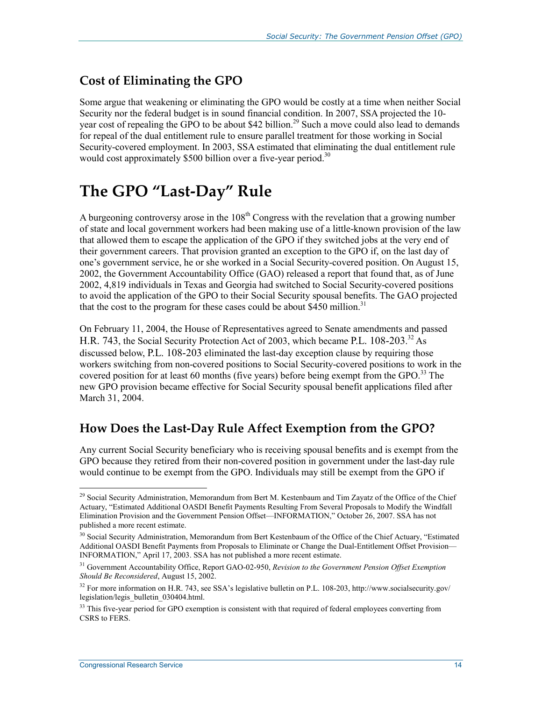### **Cost of Eliminating the GPO**

Some argue that weakening or eliminating the GPO would be costly at a time when neither Social Security nor the federal budget is in sound financial condition. In 2007, SSA projected the 10 year cost of repealing the GPO to be about \$42 billion.<sup>29</sup> Such a move could also lead to demands for repeal of the dual entitlement rule to ensure parallel treatment for those working in Social Security-covered employment. In 2003, SSA estimated that eliminating the dual entitlement rule would cost approximately \$500 billion over a five-year period.<sup>30</sup>

## **The GPO "Last-Day" Rule**

A burgeoning controversy arose in the  $108<sup>th</sup>$  Congress with the revelation that a growing number of state and local government workers had been making use of a little-known provision of the law that allowed them to escape the application of the GPO if they switched jobs at the very end of their government careers. That provision granted an exception to the GPO if, on the last day of one's government service, he or she worked in a Social Security-covered position. On August 15, 2002, the Government Accountability Office (GAO) released a report that found that, as of June 2002, 4,819 individuals in Texas and Georgia had switched to Social Security-covered positions to avoid the application of the GPO to their Social Security spousal benefits. The GAO projected that the cost to the program for these cases could be about \$450 million.<sup>31</sup>

On February 11, 2004, the House of Representatives agreed to Senate amendments and passed H.R. 743, the Social Security Protection Act of 2003, which became P.L. 108-203.<sup>32</sup> As discussed below, P.L. 108-203 eliminated the last-day exception clause by requiring those workers switching from non-covered positions to Social Security-covered positions to work in the covered position for at least 60 months (five years) before being exempt from the GPO.<sup>33</sup> The new GPO provision became effective for Social Security spousal benefit applications filed after March 31, 2004.

#### **How Does the Last-Day Rule Affect Exemption from the GPO?**

Any current Social Security beneficiary who is receiving spousal benefits and is exempt from the GPO because they retired from their non-covered position in government under the last-day rule would continue to be exempt from the GPO. Individuals may still be exempt from the GPO if

<u>.</u>

<sup>&</sup>lt;sup>29</sup> Social Security Administration, Memorandum from Bert M. Kestenbaum and Tim Zayatz of the Office of the Chief Actuary, "Estimated Additional OASDI Benefit Payments Resulting From Several Proposals to Modify the Windfall Elimination Provision and the Government Pension Offset—INFORMATION," October 26, 2007. SSA has not published a more recent estimate.

<sup>&</sup>lt;sup>30</sup> Social Security Administration, Memorandum from Bert Kestenbaum of the Office of the Chief Actuary, "Estimated Additional OASDI Benefit Payments from Proposals to Eliminate or Change the Dual-Entitlement Offset Provision— INFORMATION," April 17, 2003. SSA has not published a more recent estimate.

<sup>31</sup> Government Accountability Office, Report GAO-02-950, *Revision to the Government Pension Offset Exemption Should Be Reconsidered*, August 15, 2002.

<sup>&</sup>lt;sup>32</sup> For more information on H.R. 743, see SSA's legislative bulletin on P.L. 108-203, http://www.socialsecurity.gov/ legislation/legis\_bulletin\_030404.html.

<sup>&</sup>lt;sup>33</sup> This five-year period for GPO exemption is consistent with that required of federal employees converting from CSRS to FERS.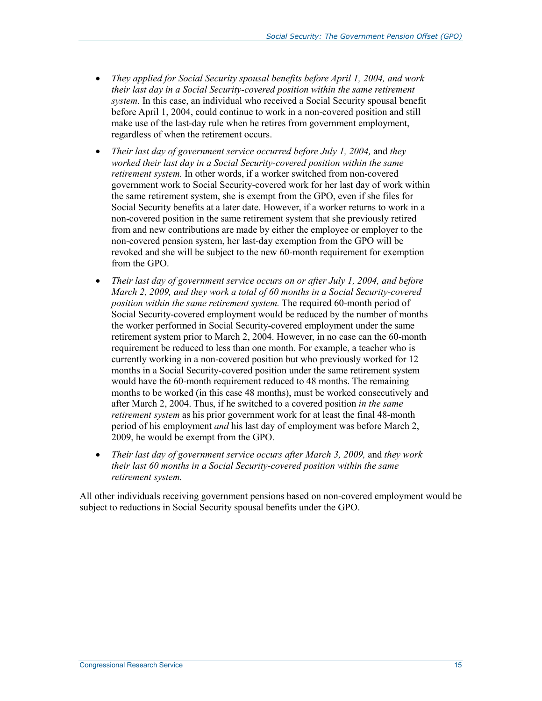- *They applied for Social Security spousal benefits before April 1, 2004, and work their last day in a Social Security-covered position within the same retirement system.* In this case, an individual who received a Social Security spousal benefit before April 1, 2004, could continue to work in a non-covered position and still make use of the last-day rule when he retires from government employment, regardless of when the retirement occurs.
- *Their last day of government service occurred before July 1, 2004,* and *they worked their last day in a Social Security-covered position within the same retirement system.* In other words, if a worker switched from non-covered government work to Social Security-covered work for her last day of work within the same retirement system, she is exempt from the GPO, even if she files for Social Security benefits at a later date. However, if a worker returns to work in a non-covered position in the same retirement system that she previously retired from and new contributions are made by either the employee or employer to the non-covered pension system, her last-day exemption from the GPO will be revoked and she will be subject to the new 60-month requirement for exemption from the GPO.
- *Their last day of government service occurs on or after July 1, 2004, and before March 2, 2009, and they work a total of 60 months in a Social Security-covered position within the same retirement system.* The required 60-month period of Social Security-covered employment would be reduced by the number of months the worker performed in Social Security-covered employment under the same retirement system prior to March 2, 2004. However, in no case can the 60-month requirement be reduced to less than one month. For example, a teacher who is currently working in a non-covered position but who previously worked for 12 months in a Social Security-covered position under the same retirement system would have the 60-month requirement reduced to 48 months. The remaining months to be worked (in this case 48 months), must be worked consecutively and after March 2, 2004. Thus, if he switched to a covered position *in the same retirement system* as his prior government work for at least the final 48-month period of his employment *and* his last day of employment was before March 2, 2009, he would be exempt from the GPO.
- *Their last day of government service occurs after March 3, 2009, and they work their last 60 months in a Social Security-covered position within the same retirement system.*

All other individuals receiving government pensions based on non-covered employment would be subject to reductions in Social Security spousal benefits under the GPO.